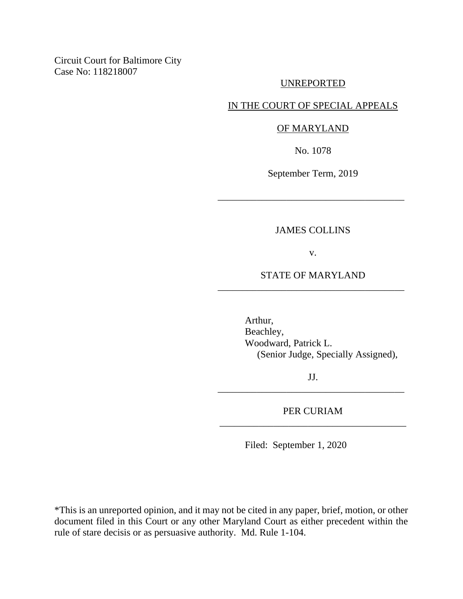Circuit Court for Baltimore City Case No: 118218007

#### UNREPORTED

### IN THE COURT OF SPECIAL APPEALS

#### OF MARYLAND

No. 1078

September Term, 2019

\_\_\_\_\_\_\_\_\_\_\_\_\_\_\_\_\_\_\_\_\_\_\_\_\_\_\_\_\_\_\_\_\_\_\_\_\_\_

### JAMES COLLINS

v.

# STATE OF MARYLAND \_\_\_\_\_\_\_\_\_\_\_\_\_\_\_\_\_\_\_\_\_\_\_\_\_\_\_\_\_\_\_\_\_\_\_\_\_\_

Arthur, Beachley, Woodward, Patrick L. (Senior Judge, Specially Assigned),

JJ. \_\_\_\_\_\_\_\_\_\_\_\_\_\_\_\_\_\_\_\_\_\_\_\_\_\_\_\_\_\_\_\_\_\_\_\_\_\_

## PER CURIAM \_\_\_\_\_\_\_\_\_\_\_\_\_\_\_\_\_\_\_\_\_\_\_\_\_\_\_\_\_\_\_\_\_\_\_\_\_\_

Filed: September 1, 2020

\*This is an unreported opinion, and it may not be cited in any paper, brief, motion, or other document filed in this Court or any other Maryland Court as either precedent within the rule of stare decisis or as persuasive authority. Md. Rule 1-104.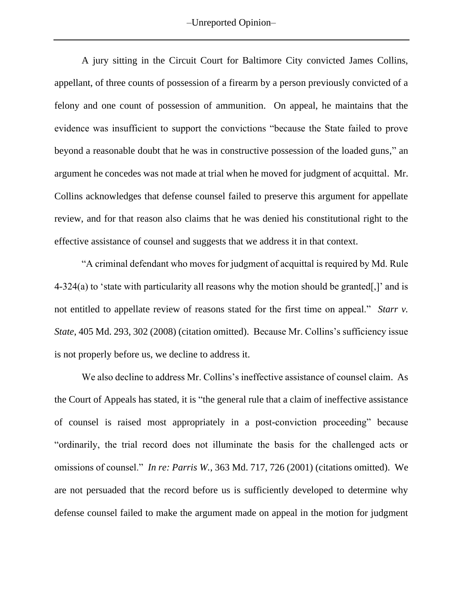–Unreported Opinion–

A jury sitting in the Circuit Court for Baltimore City convicted James Collins, appellant, of three counts of possession of a firearm by a person previously convicted of a felony and one count of possession of ammunition. On appeal, he maintains that the evidence was insufficient to support the convictions "because the State failed to prove beyond a reasonable doubt that he was in constructive possession of the loaded guns," an argument he concedes was not made at trial when he moved for judgment of acquittal. Mr. Collins acknowledges that defense counsel failed to preserve this argument for appellate review, and for that reason also claims that he was denied his constitutional right to the effective assistance of counsel and suggests that we address it in that context.

"A criminal defendant who moves for judgment of acquittal is required by Md. Rule 4-324(a) to 'state with particularity all reasons why the motion should be granted[,]' and is not entitled to appellate review of reasons stated for the first time on appeal." *Starr v. State*, 405 Md. 293, 302 (2008) (citation omitted). Because Mr. Collins's sufficiency issue is not properly before us, we decline to address it.

We also decline to address Mr. Collins's ineffective assistance of counsel claim. As the Court of Appeals has stated, it is "the general rule that a claim of ineffective assistance of counsel is raised most appropriately in a post-conviction proceeding" because "ordinarily, the trial record does not illuminate the basis for the challenged acts or omissions of counsel." *In re: Parris W.*, 363 Md. 717, 726 (2001) (citations omitted). We are not persuaded that the record before us is sufficiently developed to determine why defense counsel failed to make the argument made on appeal in the motion for judgment